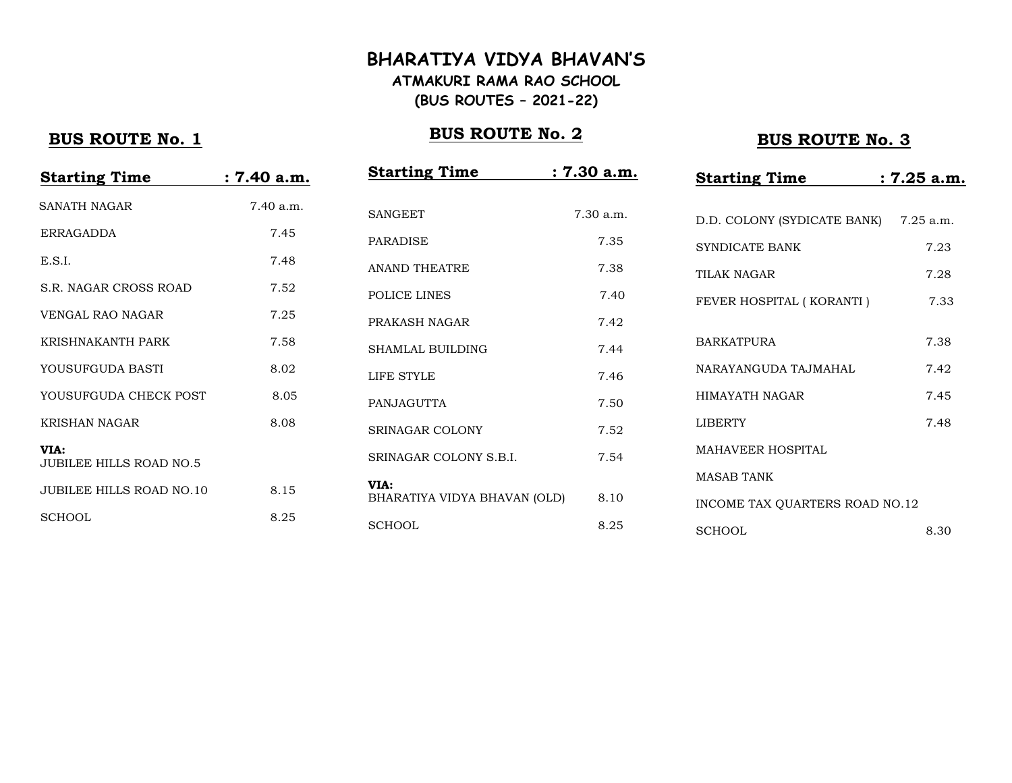## **ATMAKURI RAMA RAO SCHOOL (BUS ROUTES – 2021-22)**

## **BUS ROUTE No. 2**

## **BUS ROUTE No. 3**

| <b>Starting Time</b>                   | : 7.40 a.m. |
|----------------------------------------|-------------|
| SANATH NAGAR                           | $7.40$ a.m. |
| <b>ERRAGADDA</b>                       | 7.45        |
| E.S.L                                  | 7.48        |
| S.R. NAGAR CROSS ROAD                  | 7.52        |
| VENGAL RAO NAGAR                       | 7.25        |
| KRISHNAKANTH PARK                      | 7.58        |
| YOUSUFGUDA BASTI                       | 8.02        |
| YOUSUFGUDA CHECK POST                  | 8.05        |
| <b>KRISHAN NAGAR</b>                   | 8.08        |
| VIA:<br><b>JUBILEE HILLS ROAD NO.5</b> |             |
| <b>JUBILEE HILLS ROAD NO.10</b>        | 8.15        |
| SCHOOL                                 | 8.25        |
|                                        |             |

| <b>Starting Time</b>         | : 7.30 a.m. |
|------------------------------|-------------|
|                              |             |
| <b>SANGEET</b>               | $7.30$ a.m. |
| <b>PARADISE</b>              | 7.35        |
| ANAND THEATRE                | 7.38        |
| POLICE LINES                 | 7.40        |
| PRAKASH NAGAR                | 7.42        |
| <b>SHAMLAL BUILDING</b>      | 7.44        |
| <b>LIFE STYLE</b>            | 7.46        |
| PANJAGUTTA                   | 7.50        |
| SRINAGAR COLONY              | 7.52        |
| SRINAGAR COLONY S.B.I.       | 7.54        |
| VIA:                         |             |
| BHARATIYA VIDYA BHAVAN (OLD) | 8.10        |
| SCHOOL                       | 8.25        |

| <b>Starting Time</b>                  | $: 7.25$ a.m. |
|---------------------------------------|---------------|
|                                       |               |
| D.D. COLONY (SYDICATE BANK) 7.25 a.m. |               |
| <b>SYNDICATE BANK</b>                 | 7.23          |
| TILAK NAGAR                           | 7.28          |
| FEVER HOSPITAL (KORANTI)              | 7.33          |
|                                       |               |
| <b>BARKATPURA</b>                     | 7.38          |
| NARAYANGUDA TAJMAHAL                  | 7.42          |
| <b>HIMAYATH NAGAR</b>                 | 7.45          |
| LIBERTY                               | 7.48          |
| <b>MAHAVEER HOSPITAL</b>              |               |
| <b>MASAB TANK</b>                     |               |
| INCOME TAX QUARTERS ROAD NO.12        |               |
| SCHOOL                                | 8.30          |
|                                       |               |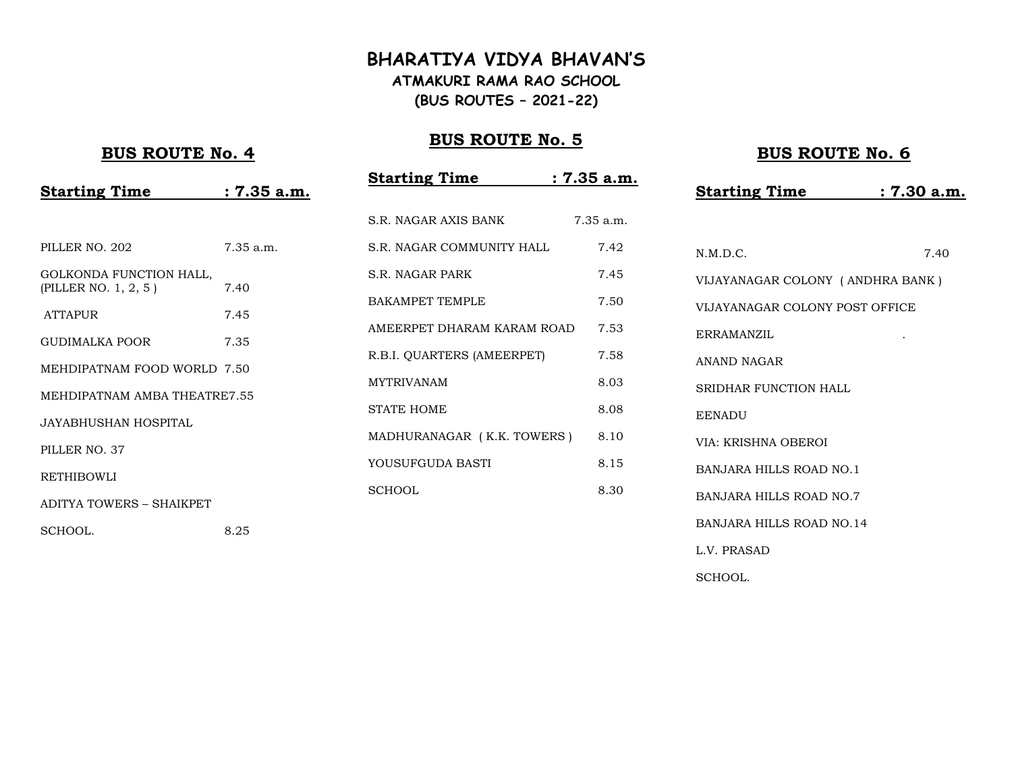**ATMAKURI RAMA RAO SCHOOL (BUS ROUTES – 2021-22)**

## **BUS ROUTE No. 5**

## **BUS ROUTE No. 4**

| <b>Starting Time</b>                            | : 7.35 a.m. |
|-------------------------------------------------|-------------|
|                                                 |             |
| PILLER NO. 202                                  | 7.35 a.m.   |
| GOLKONDA FUNCTION HALL,<br>(PILLER NO. 1, 2, 5) | 7.40        |
| <b>ATTAPUR</b>                                  | 7.45        |
| GUDIMALKA POOR                                  | 7.35        |
| MEHDIPATNAM FOOD WORLD 7.50                     |             |
| MEHDIPATNAM AMBA THEATREZ 55                    |             |
| JAYABHUSHAN HOSPITAL                            |             |
| PILLER NO. 37                                   |             |
| <b>RETHIBOWLI</b>                               |             |
| ADITYA TOWERS - SHAIKPET                        |             |
| SCHOOL.                                         | 8.25        |

| <b>Starting Time</b>       | : 7.35 a.m. |
|----------------------------|-------------|
|                            |             |
| S.R. NAGAR AXIS BANK       | $7.35$ a.m. |
| S.R. NAGAR COMMUNITY HALL  | 7.42        |
| S.R. NAGAR PARK            | 7.45        |
| <b>BAKAMPET TEMPLE</b>     | 7.50        |
| AMEERPET DHARAM KARAM ROAD | 7.53        |
| R.B.I. QUARTERS (AMEERPET) | 7.58        |
| <b>MYTRIVANAM</b>          | 8.03        |
| <b>STATE HOME</b>          | 8.08        |
| MADHURANAGAR (K.K. TOWERS) | 8.10        |
| YOUSUFGUDA BASTI           | 8.15        |
| <b>SCHOOL</b>              | 8.30        |
|                            |             |

| <b>Starting Time</b>             | : 7.30 a.m. |
|----------------------------------|-------------|
|                                  |             |
| N.M.D.C.                         | 7.40        |
| VIJAYANAGAR COLONY (ANDHRA BANK) |             |
| VIJAYANAGAR COLONY POST OFFICE   |             |
| ERRAMANZIL                       |             |
| ANAND NAGAR                      |             |
| <b>SRIDHAR FUNCTION HALL</b>     |             |
| <b>EENADU</b>                    |             |
| VIA: KRISHNA OBEROI              |             |
| BANJARA HILLS ROAD NO.1          |             |
| BANJARA HILLS ROAD NO.7          |             |
| BANJARA HILLS ROAD NO.14         |             |
| L.V. PRASAD                      |             |
| SCHOOL.                          |             |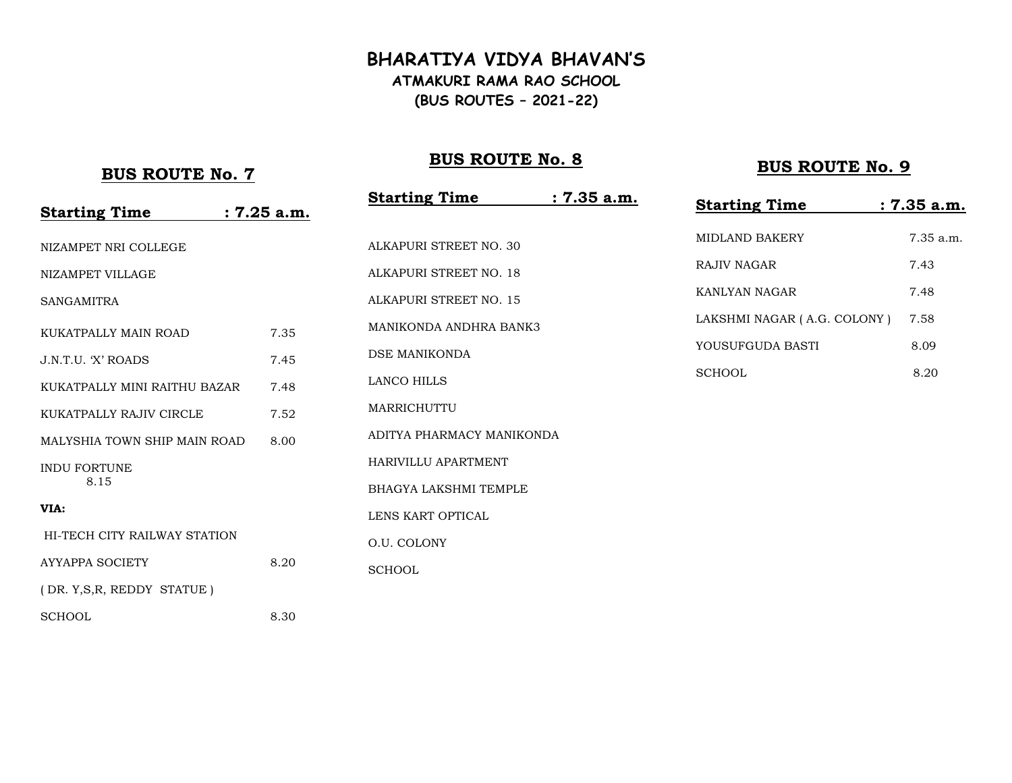## **ATMAKURI RAMA RAO SCHOOL (BUS ROUTES – 2021-22)**

## **BUS ROUTE No. 8**

## **BUS ROUTE No. 9**

| <b>Starting Time</b>         | $: 7.25$ a.m. | <b>Starting Time</b>          | $: 7.35$ a.m. |
|------------------------------|---------------|-------------------------------|---------------|
| NIZAMPET NRI COLLEGE         |               | ALKAPURI STREET NO. 30        |               |
| NIZAMPET VILLAGE             |               | <b>ALKAPURI STREET NO. 18</b> |               |
| <b>SANGAMITRA</b>            |               | ALKAPURI STREET NO. 15        |               |
| KUKATPALLY MAIN ROAD         | 7.35          | <b>MANIKONDA ANDHRA BANK3</b> |               |
| J.N.T.U. 'X' ROADS           | 7.45          | DSE MANIKONDA                 |               |
| KUKATPALLY MINI RAITHU BAZAR | 7.48          | LANCO HILLS                   |               |
| KUKATPALLY RAJIV CIRCLE      | 7.52          | <b>MARRICHUTTU</b>            |               |
| MALYSHIA TOWN SHIP MAIN ROAD | 8.00          | ADITYA PHARMACY MANIKONDA     |               |
| <b>INDU FORTUNE</b>          |               | HARIVILLU APARTMENT           |               |
| 8.15                         |               | <b>BHAGYA LAKSHMI TEMPLE</b>  |               |
| VIA:                         |               | LENS KART OPTICAL             |               |
| HI-TECH CITY RAILWAY STATION |               | O.U. COLONY                   |               |
| <b>AYYAPPA SOCIETY</b>       | 8.20          | <b>SCHOOL</b>                 |               |
| (DR. Y.S.R. REDDY STATUE)    |               |                               |               |
| <b>SCHOOL</b>                | 8.30          |                               |               |

| <b>Starting Time</b>        | : 7.35 a.m. |
|-----------------------------|-------------|
| MIDLAND BAKERY              | $7.35$ a.m. |
| RAJIV NAGAR                 | 7.43        |
| KANLYAN NAGAR               | 7.48        |
| LAKSHMI NAGAR (A.G. COLONY) | 7.58        |
| YOUSUEGUDA BASTI            | 8.09        |
| SCHOOL                      | 8.20        |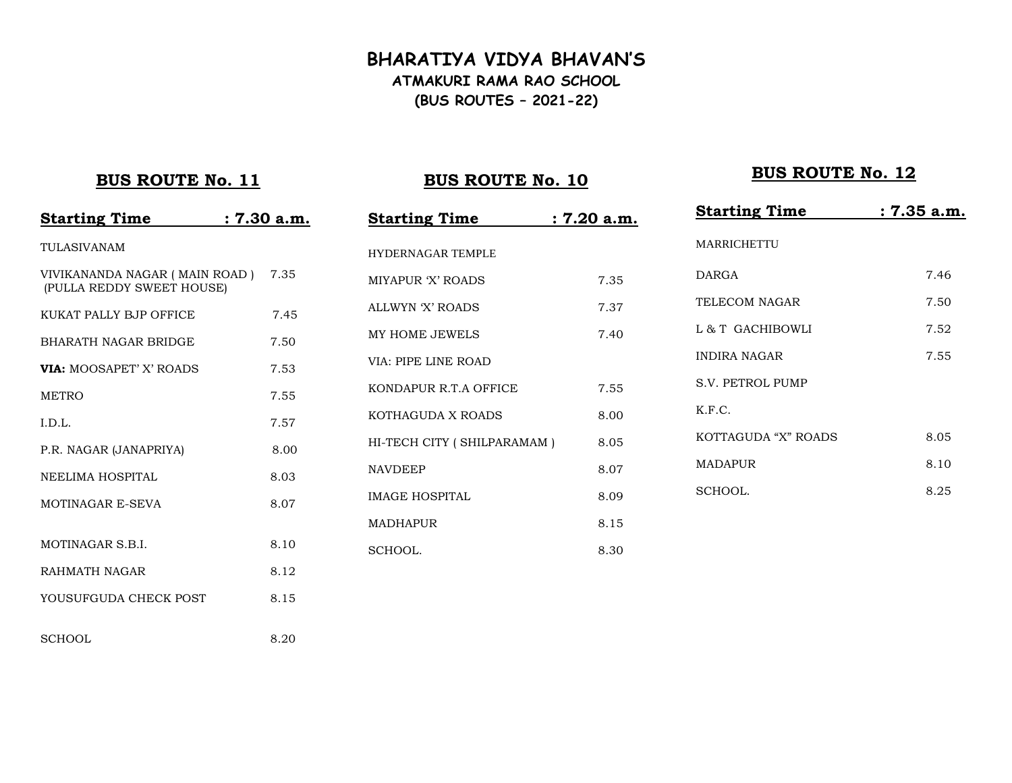# **BHARATIYA VIDYA BHAVAN'S ATMAKURI RAMA RAO SCHOOL (BUS ROUTES – 2021-22)**

#### **BUS ROUTE No. 11**

#### **BUS ROUTE No. 10**

#### **BUS ROUTE No. 12**

**Starting Time : 7.35 a.m.**

| <b>Starting Time</b>                                       | $: 7.30$ a.m. | <b>Starting Time</b>       | : 7.20 a.m. | <b>Starting Time</b>    | $: 7.35$ a.n |
|------------------------------------------------------------|---------------|----------------------------|-------------|-------------------------|--------------|
| TULASIVANAM                                                |               | <b>HYDERNAGAR TEMPLE</b>   |             | MARRICHETTU             |              |
| VIVIKANANDA NAGAR (MAIN ROAD)<br>(PULLA REDDY SWEET HOUSE) | 7.35          | <b>MIYAPUR 'X' ROADS</b>   | 7.35        | <b>DARGA</b>            | 7.46         |
| KUKAT PALLY BJP OFFICE                                     | 7.45          | ALLWYN 'X' ROADS           | 7.37        | TELECOM NAGAR           | 7.50         |
| <b>BHARATH NAGAR BRIDGE</b>                                | 7.50          | MY HOME JEWELS             | 7.40        | L & T GACHIBOWLI        | 7.52         |
| <b>VIA: MOOSAPET' X' ROADS</b>                             | 7.53          | VIA: PIPE LINE ROAD        |             | <b>INDIRA NAGAR</b>     | 7.55         |
| <b>METRO</b>                                               | 7.55          | KONDAPUR R.T.A OFFICE      | 7.55        | <b>S.V. PETROL PUMP</b> |              |
| I.D.L.                                                     | 7.57          | KOTHAGUDA X ROADS          | 8.00        | K.F.C.                  |              |
|                                                            |               | HI-TECH CITY (SHILPARAMAM) | 8.05        | KOTTAGUDA "X" ROADS     | 8.05         |
| P.R. NAGAR (JANAPRIYA)                                     | 8.00          | <b>NAVDEEP</b>             | 8.07        | <b>MADAPUR</b>          | 8.10         |
| NEELIMA HOSPITAL                                           | 8.03          | <b>IMAGE HOSPITAL</b>      | 8.09        | SCHOOL.                 | 8.25         |
| MOTINAGAR E-SEVA                                           | 8.07          | <b>MADHAPUR</b>            | 8.15        |                         |              |
| MOTINAGAR S.B.I.                                           | 8.10          | SCHOOL.                    | 8.30        |                         |              |
| RAHMATH NAGAR                                              | 8.12          |                            |             |                         |              |
| YOUSUFGUDA CHECK POST                                      | 8.15          |                            |             |                         |              |
|                                                            |               |                            |             |                         |              |
| <b>SCHOOL</b>                                              | 8.20          |                            |             |                         |              |